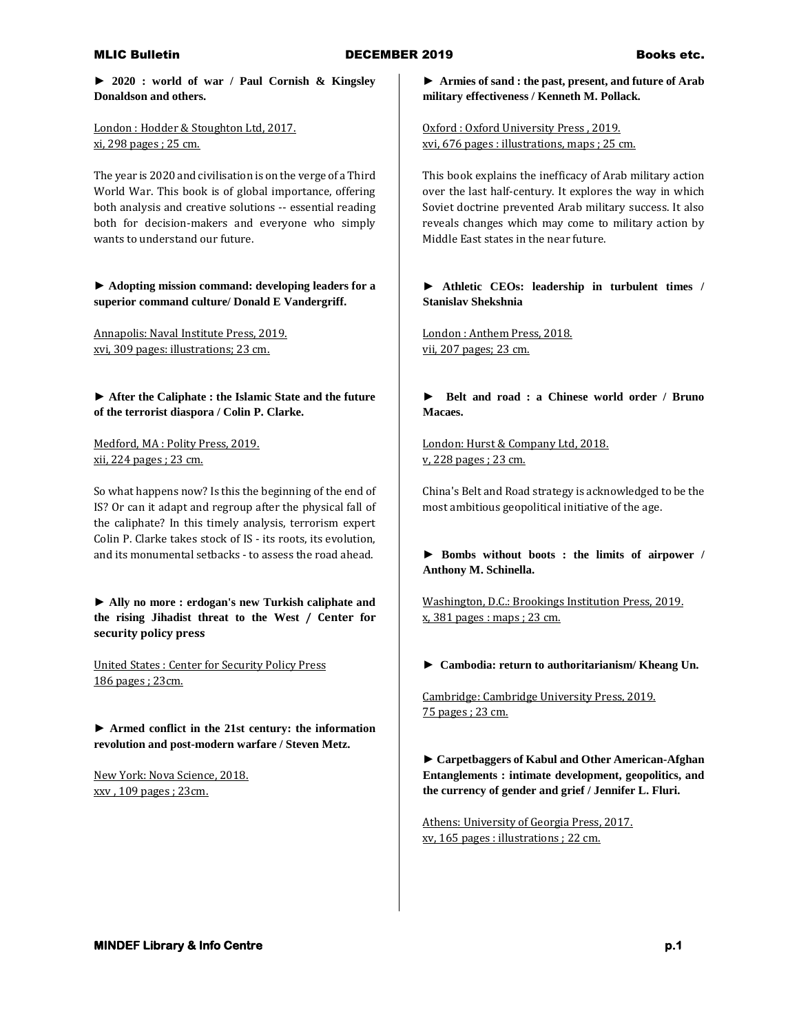**► 2020 : world of war / Paul Cornish & Kingsley Donaldson and others.**

London : Hodder & Stoughton Ltd, 2017. xi, 298 pages ; 25 cm.

The year is 2020 and civilisation is on the verge of a Third World War. This book is of global importance, offering both analysis and creative solutions -- essential reading both for decision-makers and everyone who simply wants to understand our future.

**► Adopting mission command: developing leaders for a superior command culture/ Donald E Vandergriff.**

Annapolis: Naval Institute Press, 2019. xvi, 309 pages: illustrations; 23 cm.

**► After the Caliphate : the Islamic State and the future of the terrorist diaspora / Colin P. Clarke.** 

Medford, MA : Polity Press, 2019. xii, 224 pages ; 23 cm.

So what happens now? Is this the beginning of the end of IS? Or can it adapt and regroup after the physical fall of the caliphate? In this timely analysis, terrorism expert Colin P. Clarke takes stock of IS - its roots, its evolution, and its monumental setbacks - to assess the road ahead.

**► Ally no more : erdogan's new Turkish caliphate and the rising Jihadist threat to the West / Center for security policy press**

United States : Center for Security Policy Press 186 pages ; 23cm.

**► Armed conflict in the 21st century: the information revolution and post-modern warfare / Steven Metz.**

New York: Nova Science, 2018. xxv , 109 pages ; 23cm.

**► Armies of sand : the past, present, and future of Arab military effectiveness / Kenneth M. Pollack.**

Oxford : Oxford University Press , 2019. xvi, 676 pages : illustrations, maps ; 25 cm.

This book explains the inefficacy of Arab military action over the last half-century. It explores the way in which Soviet doctrine prevented Arab military success. It also reveals changes which may come to military action by Middle East states in the near future.

**► Athletic CEOs: leadership in turbulent times / Stanislav Shekshnia**

London : Anthem Press, 2018. vii, 207 pages; 23 cm.

**► Belt and road : a Chinese world order / Bruno Macaes.**

London: Hurst & Company Ltd, 2018. v, 228 pages ; 23 cm.

China's Belt and Road strategy is acknowledged to be the most ambitious geopolitical initiative of the age.

**► Bombs without boots : the limits of airpower / Anthony M. Schinella.**

Washington, D.C.: Brookings Institution Press, 2019. x, 381 pages : maps ; 23 cm.

**► Cambodia: return to authoritarianism/ Kheang Un.**

Cambridge: Cambridge University Press, 2019. 75 pages ; 23 cm.

**► Carpetbaggers of Kabul and Other American-Afghan Entanglements : intimate development, geopolitics, and the currency of gender and grief / Jennifer L. Fluri.**

Athens: University of Georgia Press, 2017. xv, 165 pages : illustrations ; 22 cm.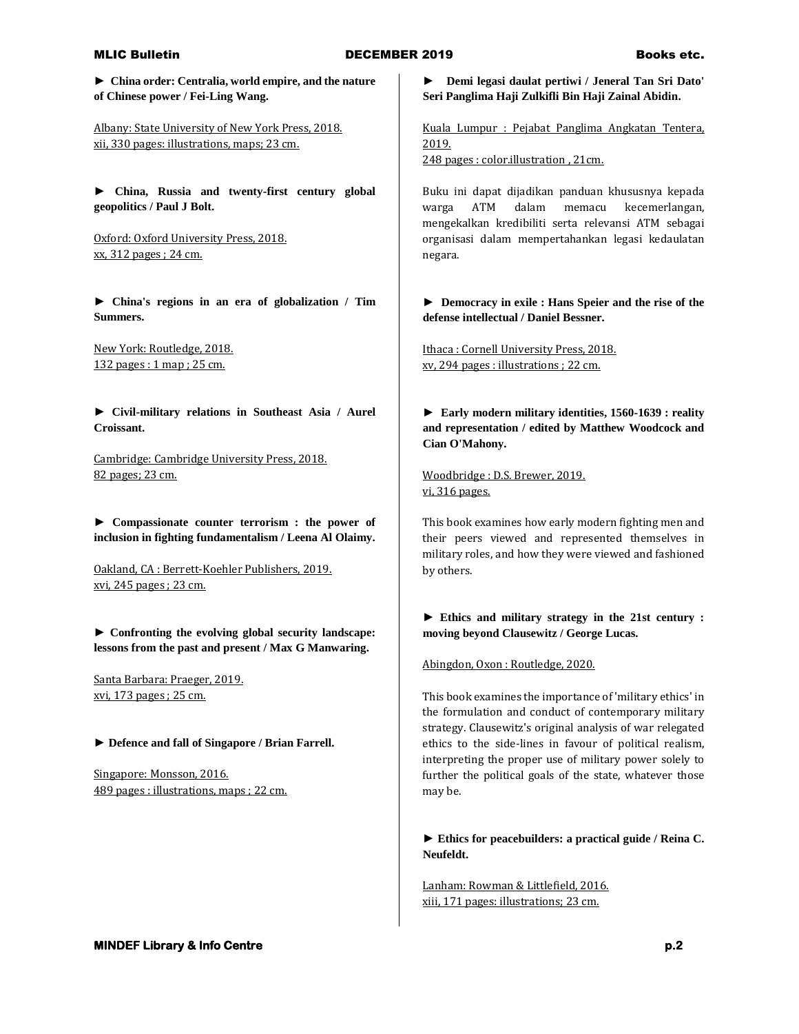## MLIC Bulletin **Books etc.** DECEMBER 2019 **Books etc.** Books etc.

**► China order: Centralia, world empire, and the nature of Chinese power / Fei-Ling Wang.**

Albany: State University of New York Press, 2018. xii, 330 pages: illustrations, maps; 23 cm.

**► China, Russia and twenty-first century global geopolitics / Paul J Bolt.**

Oxford: Oxford University Press, 2018. xx, 312 pages ; 24 cm.

**► China's regions in an era of globalization / Tim Summers.**

New York: Routledge, 2018. 132 pages : 1 map ; 25 cm.

**► Civil-military relations in Southeast Asia / Aurel Croissant.**

Cambridge: Cambridge University Press, 2018. 82 pages; 23 cm.

**► Compassionate counter terrorism : the power of inclusion in fighting fundamentalism / Leena Al Olaimy.**

Oakland, CA : Berrett-Koehler Publishers, 2019. xvi, 245 pages ; 23 cm.

**► Confronting the evolving global security landscape: lessons from the past and present / Max G Manwaring.**

Santa Barbara: Praeger, 2019. xvi, 173 pages ; 25 cm.

**► Defence and fall of Singapore / Brian Farrell.**

Singapore: Monsson, 2016. 489 pages : illustrations, maps ; 22 cm. **► Demi legasi daulat pertiwi / Jeneral Tan Sri Dato' Seri Panglima Haji Zulkifli Bin Haji Zainal Abidin.**

Kuala Lumpur : Pejabat Panglima Angkatan Tentera, 2019. 248 pages : color.illustration , 21cm.

Buku ini dapat dijadikan panduan khususnya kepada warga ATM dalam memacu kecemerlangan, mengekalkan kredibiliti serta relevansi ATM sebagai organisasi dalam mempertahankan legasi kedaulatan negara.

**► Democracy in exile : Hans Speier and the rise of the defense intellectual / Daniel Bessner.**

Ithaca : Cornell University Press, 2018. xv, 294 pages : illustrations ; 22 cm.

**► Early modern military identities, 1560-1639 : reality and representation / edited by Matthew Woodcock and Cian O'Mahony.**

Woodbridge : D.S. Brewer, 2019. vi, 316 pages.

This book examines how early modern fighting men and their peers viewed and represented themselves in military roles, and how they were viewed and fashioned by others.

# **► Ethics and military strategy in the 21st century : moving beyond Clausewitz / George Lucas.**

Abingdon, Oxon : Routledge, 2020.

This book examines the importance of 'military ethics' in the formulation and conduct of contemporary military strategy. Clausewitz's original analysis of war relegated ethics to the side-lines in favour of political realism, interpreting the proper use of military power solely to further the political goals of the state, whatever those may be.

**► Ethics for peacebuilders: a practical guide / Reina C. Neufeldt.**

Lanham: Rowman & Littlefield, 2016. xiii, 171 pages: illustrations; 23 cm.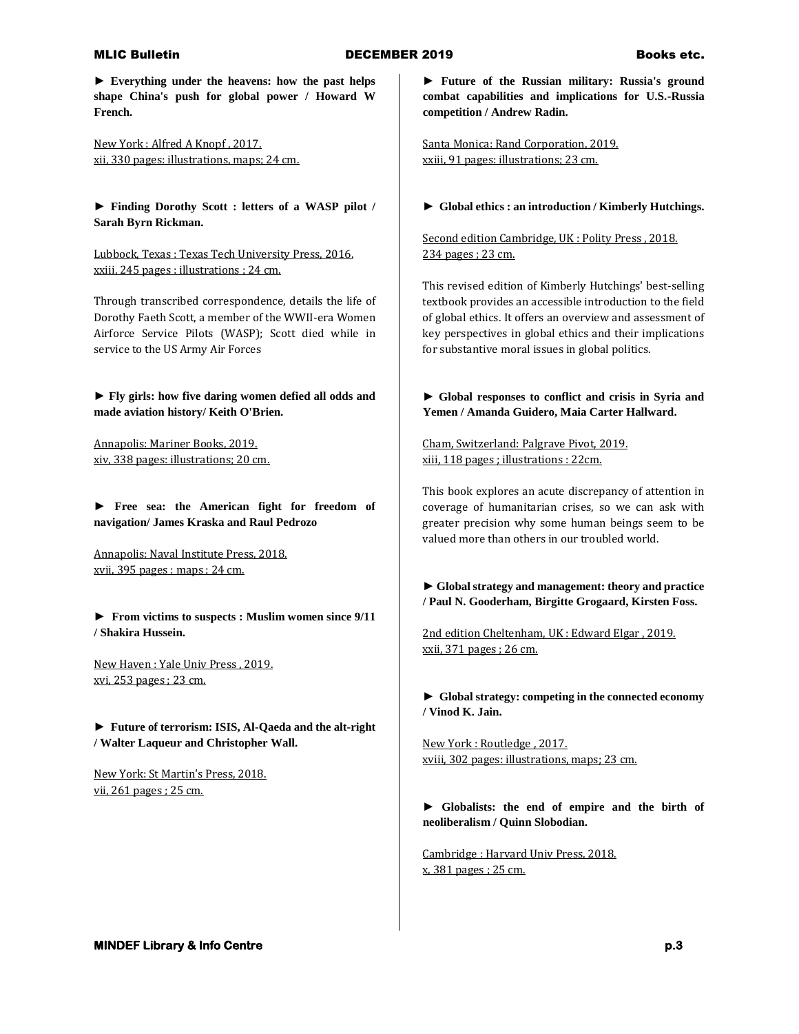**► Everything under the heavens: how the past helps shape China's push for global power / Howard W French.** 

New York : Alfred A Knopf , 2017. xii, 330 pages: illustrations, maps; 24 cm.

**► Finding Dorothy Scott : letters of a WASP pilot / Sarah Byrn Rickman.**

Lubbock, Texas : Texas Tech University Press, 2016. xxiii, 245 pages : illustrations ; 24 cm.

Through transcribed correspondence, details the life of Dorothy Faeth Scott, a member of the WWII-era Women Airforce Service Pilots (WASP); Scott died while in service to the US Army Air Forces

**► Fly girls: how five daring women defied all odds and made aviation history/ Keith O'Brien.**

Annapolis: Mariner Books, 2019. xiv, 338 pages: illustrations; 20 cm.

**► Free sea: the American fight for freedom of navigation/ James Kraska and Raul Pedrozo**

Annapolis: Naval Institute Press, 2018. xvii, 395 pages : maps ; 24 cm.

**► From victims to suspects : Muslim women since 9/11 / Shakira Hussein.**

New Haven : Yale Univ Press , 2019. xvi, 253 pages ; 23 cm.

**► Future of terrorism: ISIS, Al-Qaeda and the alt-right / Walter Laqueur and Christopher Wall.**

New York: St Martin's Press, 2018. vii, 261 pages ; 25 cm.

**► Future of the Russian military: Russia's ground combat capabilities and implications for U.S.-Russia competition / Andrew Radin.**

Santa Monica: Rand Corporation, 2019. xxiii, 91 pages: illustrations; 23 cm.

**► Global ethics : an introduction / Kimberly Hutchings.**

Second edition Cambridge, UK : Polity Press, 2018. 234 pages ; 23 cm.

This revised edition of Kimberly Hutchings' best-selling textbook provides an accessible introduction to the field of global ethics. It offers an overview and assessment of key perspectives in global ethics and their implications for substantive moral issues in global politics.

**► Global responses to conflict and crisis in Syria and Yemen / Amanda Guidero, Maia Carter Hallward.**

Cham, Switzerland: Palgrave Pivot, 2019. xiii, 118 pages ; illustrations : 22cm.

This book explores an acute discrepancy of attention in coverage of humanitarian crises, so we can ask with greater precision why some human beings seem to be valued more than others in our troubled world.

**► Global strategy and management: theory and practice / Paul N. Gooderham, Birgitte Grogaard, Kirsten Foss.**

2nd edition Cheltenham, UK : Edward Elgar , 2019. xxii, 371 pages ; 26 cm.

**► Global strategy: competing in the connected economy / Vinod K. Jain.**

New York : Routledge , 2017. xviii, 302 pages: illustrations, maps; 23 cm.

**► Globalists: the end of empire and the birth of neoliberalism / Quinn Slobodian.**

Cambridge : Harvard Univ Press, 2018. x, 381 pages ; 25 cm.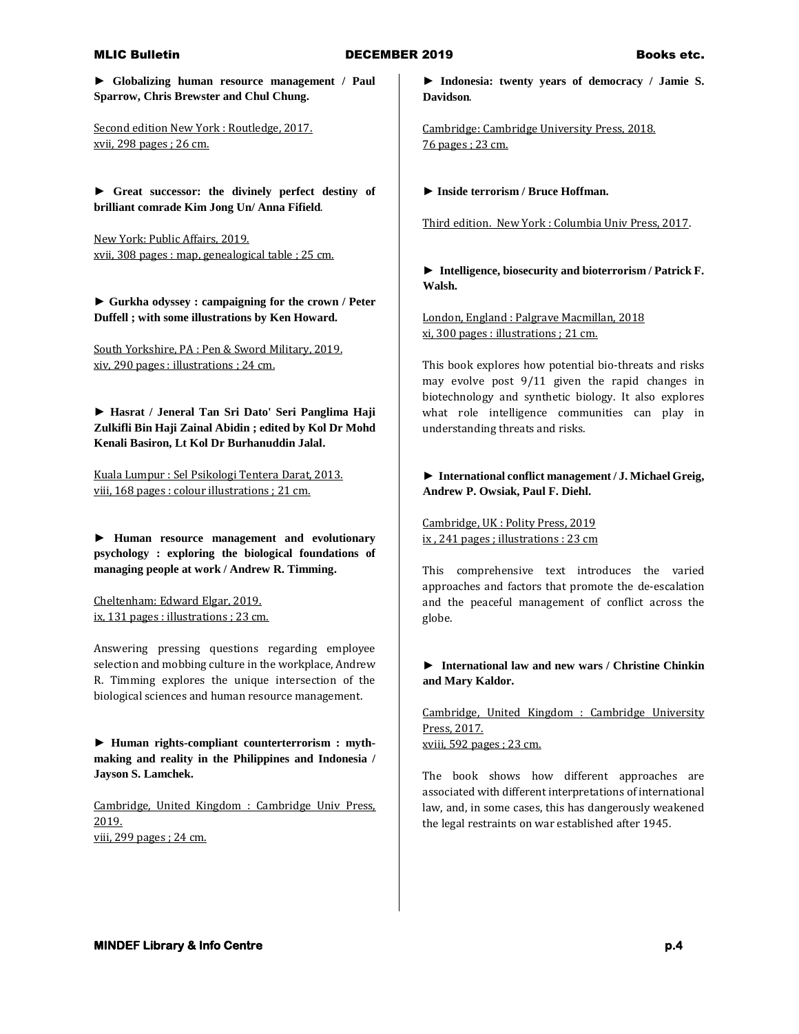**► Globalizing human resource management / Paul Sparrow, Chris Brewster and Chul Chung.**

Second edition New York : Routledge, 2017. xvii, 298 pages ; 26 cm.

**► Great successor: the divinely perfect destiny of brilliant comrade Kim Jong Un/ Anna Fifield**.

New York: Public Affairs, 2019. xvii, 308 pages : map, genealogical table ; 25 cm.

**► Gurkha odyssey : campaigning for the crown / Peter Duffell ; with some illustrations by Ken Howard.**

South Yorkshire, PA : Pen & Sword Military, 2019. xiv, 290 pages : illustrations ; 24 cm.

**► Hasrat / Jeneral Tan Sri Dato' Seri Panglima Haji Zulkifli Bin Haji Zainal Abidin ; edited by Kol Dr Mohd Kenali Basiron, Lt Kol Dr Burhanuddin Jalal.**

Kuala Lumpur : Sel Psikologi Tentera Darat, 2013. viii, 168 pages : colour illustrations ; 21 cm.

**► Human resource management and evolutionary psychology : exploring the biological foundations of managing people at work / Andrew R. Timming.**

Cheltenham: Edward Elgar, 2019. ix, 131 pages : illustrations ; 23 cm.

Answering pressing questions regarding employee selection and mobbing culture in the workplace, Andrew R. Timming explores the unique intersection of the biological sciences and human resource management.

**► Human rights-compliant counterterrorism : mythmaking and reality in the Philippines and Indonesia / Jayson S. Lamchek.**

Cambridge, United Kingdom : Cambridge Univ Press, 2019. viii, 299 pages ; 24 cm.

**► Indonesia: twenty years of democracy / Jamie S. Davidson**.

Cambridge: Cambridge University Press, 2018. 76 pages ; 23 cm.

**► Inside terrorism / Bruce Hoffman.**

Third edition. New York : Columbia Univ Press, 2017.

**► Intelligence, biosecurity and bioterrorism / Patrick F. Walsh.**

London, England : Palgrave Macmillan, 2018 xi, 300 pages : illustrations ; 21 cm.

This book explores how potential bio-threats and risks may evolve post 9/11 given the rapid changes in biotechnology and synthetic biology. It also explores what role intelligence communities can play in understanding threats and risks.

## **► International conflict management / J. Michael Greig, Andrew P. Owsiak, Paul F. Diehl.**

Cambridge, UK : Polity Press, 2019 ix , 241 pages ; illustrations : 23 cm

This comprehensive text introduces the varied approaches and factors that promote the de-escalation and the peaceful management of conflict across the globe.

**► International law and new wars / Christine Chinkin and Mary Kaldor.**

Cambridge, United Kingdom : Cambridge University Press, 2017. xviii, 592 pages ; 23 cm.

The book shows how different approaches are associated with different interpretations of international law, and, in some cases, this has dangerously weakened the legal restraints on war established after 1945.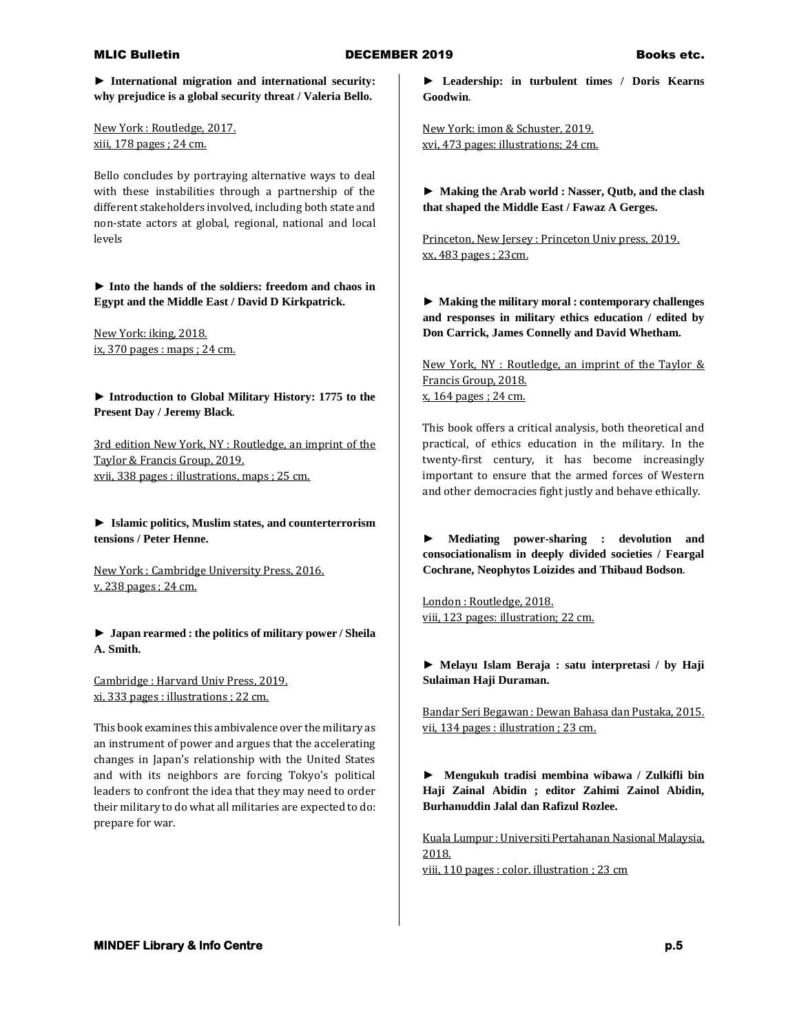**► International migration and international security: why prejudice is a global security threat / Valeria Bello.**

New York : Routledge, 2017. xiii, 178 pages ; 24 cm.

Bello concludes by portraying alternative ways to deal with these instabilities through a partnership of the different stakeholders involved, including both state and non-state actors at global, regional, national and local levels

**► Into the hands of the soldiers: freedom and chaos in Egypt and the Middle East / David D Kirkpatrick.**

New York: iking, 2018. ix, 370 pages : maps ; 24 cm.

**► Introduction to Global Military History: 1775 to the Present Day / Jeremy Black**.

3rd edition New York, NY : Routledge, an imprint of the Taylor & Francis Group, 2019. xvii, 338 pages : illustrations, maps ; 25 cm.

**► Islamic politics, Muslim states, and counterterrorism tensions / Peter Henne.**

New York : Cambridge University Press, 2016. v, 238 pages ; 24 cm.

**► Japan rearmed : the politics of military power / Sheila A. Smith.**

Cambridge : Harvard Univ Press, 2019. xi, 333 pages : illustrations ; 22 cm.

This book examines this ambivalence over the military as an instrument of power and argues that the accelerating changes in Japan's relationship with the United States and with its neighbors are forcing Tokyo's political leaders to confront the idea that they may need to order their military to do what all militaries are expected to do: prepare for war.

**► Leadership: in turbulent times / Doris Kearns Goodwin**.

New York: imon & Schuster, 2019. xvi, 473 pages: illustrations; 24 cm.

**► Making the Arab world : Nasser, Qutb, and the clash that shaped the Middle East / Fawaz A Gerges.**

Princeton, New Jersey : Princeton Univ press, 2019. xx, 483 pages ; 23cm.

**► Making the military moral : contemporary challenges and responses in military ethics education / edited by Don Carrick, James Connelly and David Whetham.** 

New York, NY : Routledge, an imprint of the Taylor & Francis Group, 2018. x, 164 pages ; 24 cm.

This book offers a critical analysis, both theoretical and practical, of ethics education in the military. In the twenty-first century, it has become increasingly important to ensure that the armed forces of Western and other democracies fight justly and behave ethically.

**► Mediating power-sharing : devolution and consociationalism in deeply divided societies / Feargal Cochrane, Neophytos Loizides and Thibaud Bodson**.

London : Routledge, 2018. viii, 123 pages: illustration; 22 cm.

**► Melayu Islam Beraja : satu interpretasi / by Haji Sulaiman Haji Duraman.**

Bandar Seri Begawan : Dewan Bahasa dan Pustaka, 2015. vii, 134 pages : illustration ; 23 cm.

**► Mengukuh tradisi membina wibawa / Zulkifli bin Haji Zainal Abidin ; editor Zahimi Zainol Abidin, Burhanuddin Jalal dan Rafizul Rozlee.**

Kuala Lumpur : Universiti Pertahanan Nasional Malaysia, 2018.

viii, 110 pages : color. illustration ; 23 cm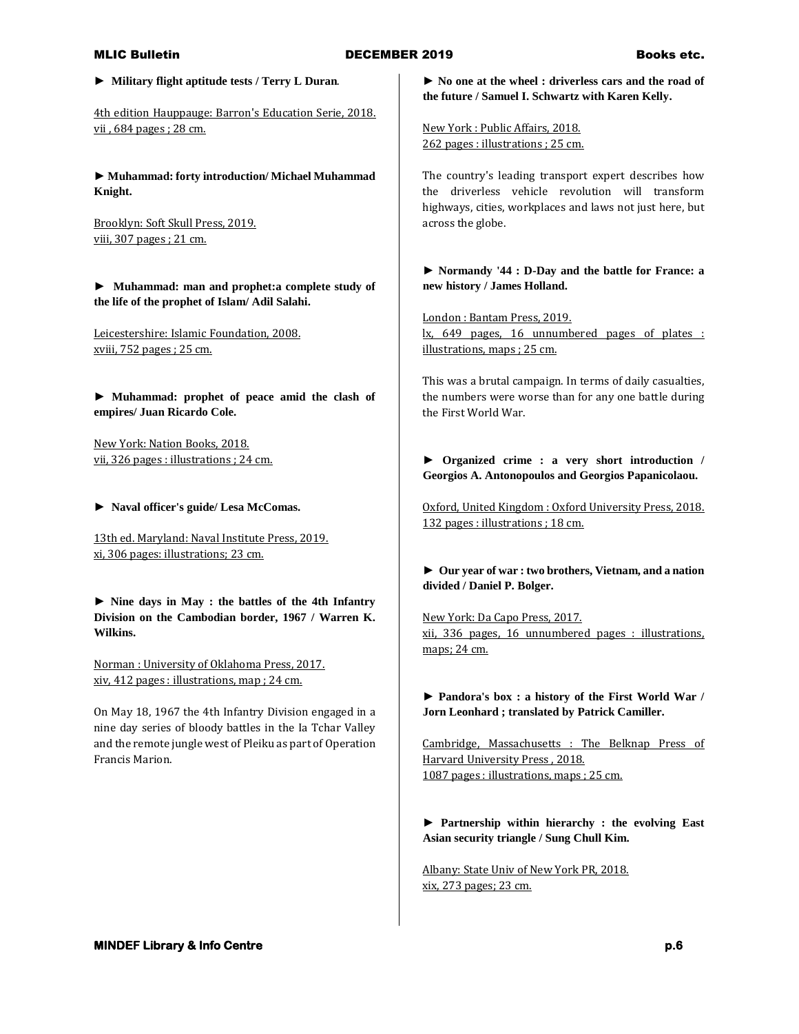**► Military flight aptitude tests / Terry L Duran**.

4th edition Hauppauge: Barron's Education Serie, 2018. vii , 684 pages ; 28 cm.

**► Muhammad: forty introduction/ Michael Muhammad Knight.**

Brooklyn: Soft Skull Press, 2019. viii, 307 pages ; 21 cm.

**► Muhammad: man and prophet:a complete study of the life of the prophet of Islam/ Adil Salahi.**

Leicestershire: Islamic Foundation, 2008. xviii, 752 pages ; 25 cm.

**► Muhammad: prophet of peace amid the clash of empires/ Juan Ricardo Cole.**

New York: Nation Books, 2018. vii, 326 pages : illustrations ; 24 cm.

**► Naval officer's guide/ Lesa McComas.**

13th ed. Maryland: Naval Institute Press, 2019. xi, 306 pages: illustrations; 23 cm.

**► Nine days in May : the battles of the 4th Infantry Division on the Cambodian border, 1967 / Warren K. Wilkins.**

Norman : University of Oklahoma Press, 2017. xiv, 412 pages : illustrations, map ; 24 cm.

On May 18, 1967 the 4th Infantry Division engaged in a nine day series of bloody battles in the Ia Tchar Valley and the remote jungle west of Pleiku as part of Operation Francis Marion.

**► No one at the wheel : driverless cars and the road of the future / Samuel I. Schwartz with Karen Kelly.**

New York : Public Affairs, 2018. 262 pages : illustrations ; 25 cm.

The country's leading transport expert describes how the driverless vehicle revolution will transform highways, cities, workplaces and laws not just here, but across the globe.

**► Normandy '44 : D-Day and the battle for France: a new history / James Holland.**

London : Bantam Press, 2019. lx, 649 pages, 16 unnumbered pages of plates : illustrations, maps ; 25 cm.

This was a brutal campaign. In terms of daily casualties, the numbers were worse than for any one battle during the First World War.

**► Organized crime : a very short introduction / Georgios A. Antonopoulos and Georgios Papanicolaou.**

Oxford, United Kingdom : Oxford University Press, 2018. 132 pages : illustrations ; 18 cm.

**► Our year of war : two brothers, Vietnam, and a nation divided / Daniel P. Bolger.**

New York: Da Capo Press, 2017. xii, 336 pages, 16 unnumbered pages : illustrations, maps; 24 cm.

**► Pandora's box : a history of the First World War / Jorn Leonhard ; translated by Patrick Camiller.**

Cambridge, Massachusetts : The Belknap Press of Harvard University Press , 2018. 1087 pages : illustrations, maps ; 25 cm.

**► Partnership within hierarchy : the evolving East Asian security triangle / Sung Chull Kim.**

Albany: State Univ of New York PR, 2018. xix, 273 pages; 23 cm.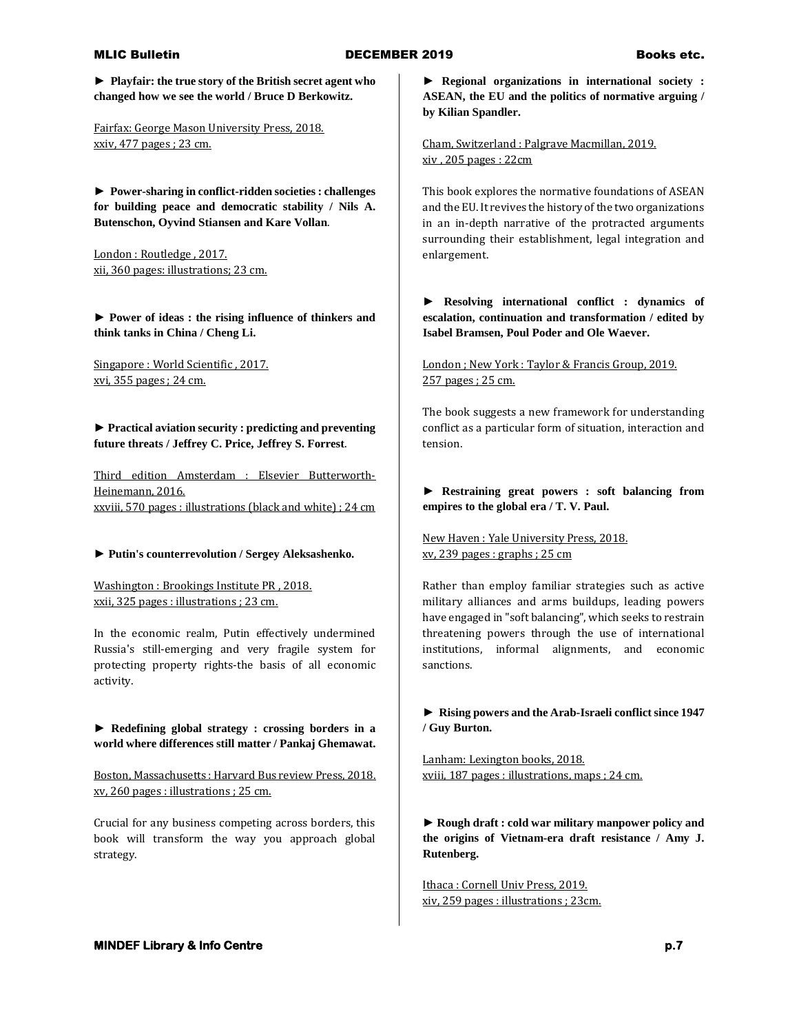**► Playfair: the true story of the British secret agent who changed how we see the world / Bruce D Berkowitz.**

Fairfax: George Mason University Press, 2018. xxiv, 477 pages ; 23 cm.

**► Power-sharing in conflict-ridden societies : challenges for building peace and democratic stability / Nils A. Butenschon, Oyvind Stiansen and Kare Vollan**.

London : Routledge , 2017. xii, 360 pages: illustrations; 23 cm.

**► Power of ideas : the rising influence of thinkers and think tanks in China / Cheng Li.**

Singapore : World Scientific , 2017. xvi, 355 pages ; 24 cm.

**► Practical aviation security : predicting and preventing future threats / Jeffrey C. Price, Jeffrey S. Forrest**.

Third edition Amsterdam : Elsevier Butterworth-Heinemann, 2016. xxviii, 570 pages : illustrations (black and white) ; 24 cm

### **► Putin's counterrevolution / Sergey Aleksashenko.**

Washington : Brookings Institute PR , 2018. xxii, 325 pages : illustrations ; 23 cm.

In the economic realm, Putin effectively undermined Russia's still-emerging and very fragile system for protecting property rights-the basis of all economic activity.

**► Redefining global strategy : crossing borders in a world where differences still matter / Pankaj Ghemawat.**

Boston, Massachusetts : Harvard Bus review Press, 2018. xv, 260 pages : illustrations ; 25 cm.

Crucial for any business competing across borders, this book will transform the way you approach global strategy.

**► Regional organizations in international society : ASEAN, the EU and the politics of normative arguing / by Kilian Spandler.**

Cham, Switzerland : Palgrave Macmillan, 2019. xiv , 205 pages : 22cm

This book explores the normative foundations of ASEAN and the EU. It revives the history of the two organizations in an in-depth narrative of the protracted arguments surrounding their establishment, legal integration and enlargement.

**► Resolving international conflict : dynamics of escalation, continuation and transformation / edited by Isabel Bramsen, Poul Poder and Ole Waever.**

London ; New York : Taylor & Francis Group, 2019. 257 pages ; 25 cm.

The book suggests a new framework for understanding conflict as a particular form of situation, interaction and tension.

## **► Restraining great powers : soft balancing from empires to the global era / T. V. Paul.**

New Haven : Yale University Press, 2018. xv, 239 pages : graphs ; 25 cm

Rather than employ familiar strategies such as active military alliances and arms buildups, leading powers have engaged in "soft balancing", which seeks to restrain threatening powers through the use of international institutions, informal alignments, and economic sanctions.

**► Rising powers and the Arab-Israeli conflict since 1947 / Guy Burton.**

Lanham: Lexington books, 2018. xviii, 187 pages : illustrations, maps ; 24 cm.

**► Rough draft : cold war military manpower policy and the origins of Vietnam-era draft resistance / Amy J. Rutenberg.**

Ithaca : Cornell Univ Press, 2019. xiv, 259 pages : illustrations ; 23cm.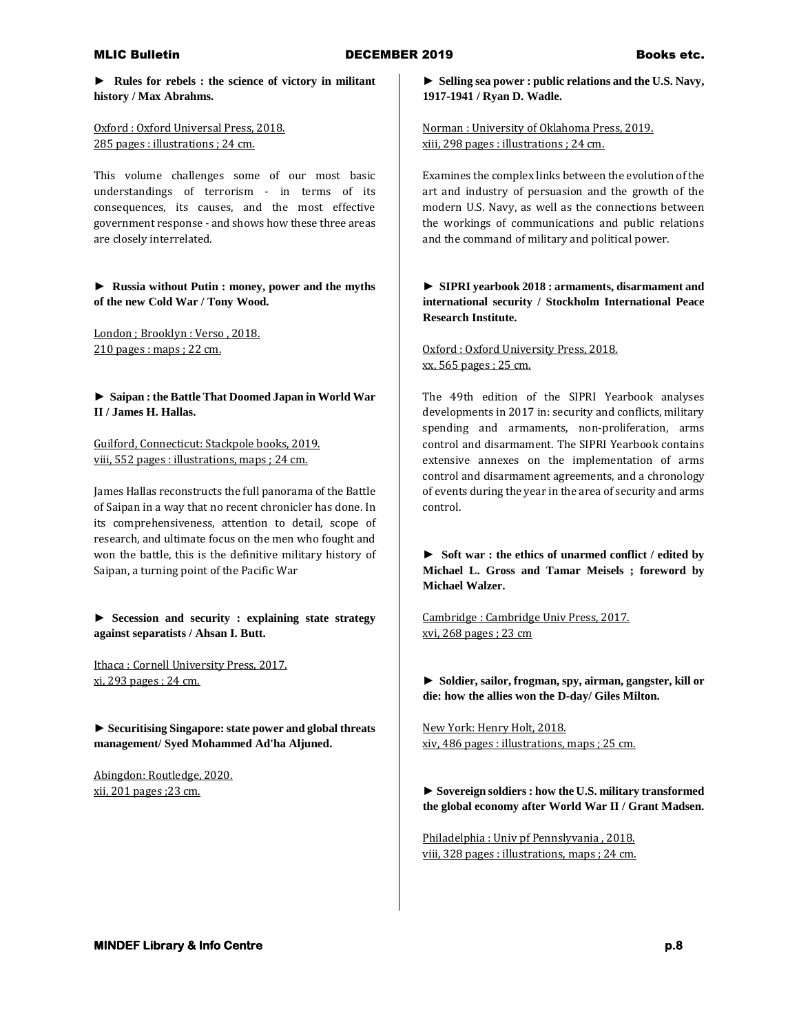**► Rules for rebels : the science of victory in militant history / Max Abrahms.**

Oxford : Oxford Universal Press, 2018. 285 pages : illustrations ; 24 cm.

This volume challenges some of our most basic understandings of terrorism - in terms of its consequences, its causes, and the most effective government response - and shows how these three areas are closely interrelated.

**► Russia without Putin : money, power and the myths of the new Cold War / Tony Wood.**

London ; Brooklyn : Verso , 2018. 210 pages : maps ; 22 cm.

**► Saipan : the Battle That Doomed Japan in World War II / James H. Hallas.**

Guilford, Connecticut: Stackpole books, 2019. viii, 552 pages : illustrations, maps ; 24 cm.

James Hallas reconstructs the full panorama of the Battle of Saipan in a way that no recent chronicler has done. In its comprehensiveness, attention to detail, scope of research, and ultimate focus on the men who fought and won the battle, this is the definitive military history of Saipan, a turning point of the Pacific War

**► Secession and security : explaining state strategy against separatists / Ahsan I. Butt.**

Ithaca : Cornell University Press, 2017. xi, 293 pages ; 24 cm.

**► Securitising Singapore: state power and global threats management/ Syed Mohammed Ad'ha Aljuned.**

Abingdon: Routledge, 2020. xii, 201 pages ;23 cm.

**► Selling sea power : public relations and the U.S. Navy, 1917-1941 / Ryan D. Wadle.**

Norman : University of Oklahoma Press, 2019. xiii, 298 pages : illustrations ; 24 cm.

Examines the complex links between the evolution of the art and industry of persuasion and the growth of the modern U.S. Navy, as well as the connections between the workings of communications and public relations and the command of military and political power.

**► SIPRI yearbook 2018 : armaments, disarmament and international security / Stockholm International Peace Research Institute.**

Oxford : Oxford University Press, 2018. xx, 565 pages ; 25 cm.

The 49th edition of the SIPRI Yearbook analyses developments in 2017 in: security and conflicts, military spending and armaments, non-proliferation, arms control and disarmament. The SIPRI Yearbook contains extensive annexes on the implementation of arms control and disarmament agreements, and a chronology of events during the year in the area of security and arms control.

**► Soft war : the ethics of unarmed conflict / edited by Michael L. Gross and Tamar Meisels ; foreword by Michael Walzer.**

Cambridge : Cambridge Univ Press, 2017. xvi, 268 pages ; 23 cm

**► Soldier, sailor, frogman, spy, airman, gangster, kill or die: how the allies won the D-day/ Giles Milton.**

New York: Henry Holt, 2018. xiv, 486 pages : illustrations, maps ; 25 cm.

**► Sovereign soldiers : how the U.S. military transformed the global economy after World War II / Grant Madsen.**

Philadelphia : Univ pf Pennslyvania , 2018. viii, 328 pages : illustrations, maps ; 24 cm.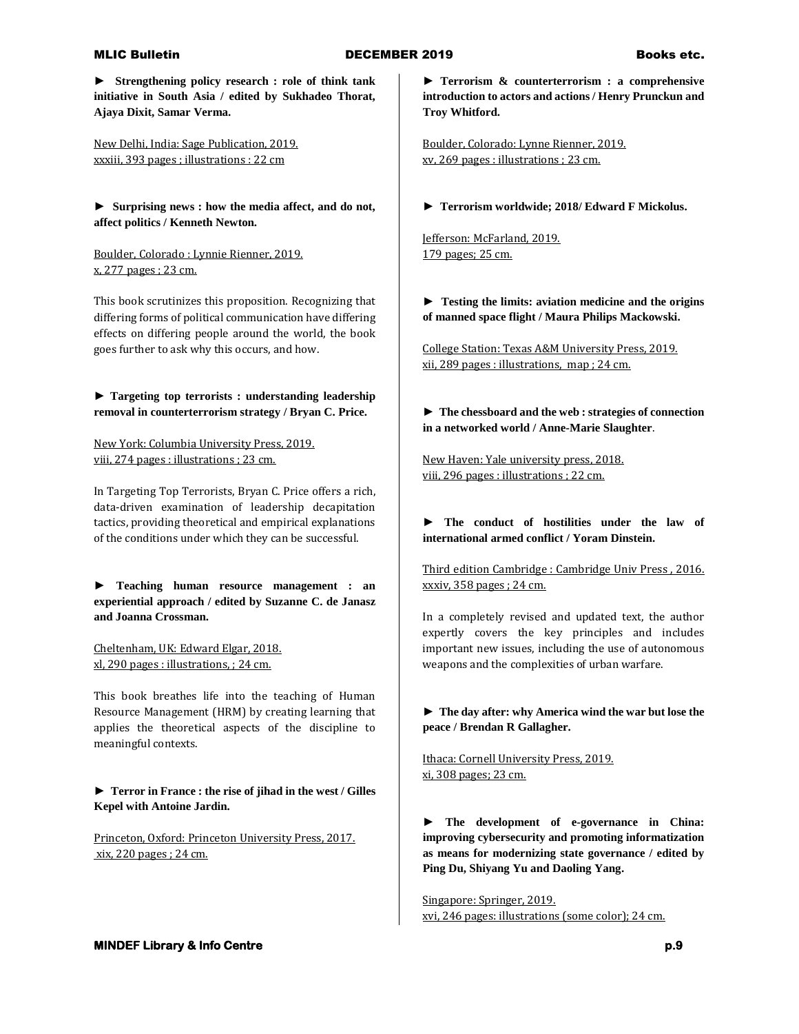**► Strengthening policy research : role of think tank initiative in South Asia / edited by Sukhadeo Thorat, Ajaya Dixit, Samar Verma.**

New Delhi, India: Sage Publication, 2019. xxxiii, 393 pages ; illustrations : 22 cm

**► Surprising news : how the media affect, and do not, affect politics / Kenneth Newton.**

Boulder, Colorado : Lynnie Rienner, 2019. x, 277 pages ; 23 cm.

This book scrutinizes this proposition. Recognizing that differing forms of political communication have differing effects on differing people around the world, the book goes further to ask why this occurs, and how.

**► Targeting top terrorists : understanding leadership removal in counterterrorism strategy / Bryan C. Price.**

New York: Columbia University Press, 2019. viii, 274 pages : illustrations ; 23 cm.

In Targeting Top Terrorists, Bryan C. Price offers a rich, data-driven examination of leadership decapitation tactics, providing theoretical and empirical explanations of the conditions under which they can be successful.

**► Teaching human resource management : an experiential approach / edited by Suzanne C. de Janasz and Joanna Crossman.**

Cheltenham, UK: Edward Elgar, 2018. xl, 290 pages : illustrations, ; 24 cm.

This book breathes life into the teaching of Human Resource Management (HRM) by creating learning that applies the theoretical aspects of the discipline to meaningful contexts.

**► Terror in France : the rise of jihad in the west / Gilles Kepel with Antoine Jardin.**

Princeton, Oxford: Princeton University Press, 2017. xix, 220 pages ; 24 cm.

**► Terrorism & counterterrorism : a comprehensive introduction to actors and actions / Henry Prunckun and Troy Whitford.**

Boulder, Colorado: Lynne Rienner, 2019. xv, 269 pages : illustrations ; 23 cm.

**► Terrorism worldwide; 2018/ Edward F Mickolus.**

Jefferson: McFarland, 2019. 179 pages; 25 cm.

**► Testing the limits: aviation medicine and the origins of manned space flight / Maura Philips Mackowski.**

College Station: Texas A&M University Press, 2019. xii, 289 pages : illustrations, map ; 24 cm.

**► The chessboard and the web : strategies of connection in a networked world / Anne-Marie Slaughter**.

New Haven: Yale university press, 2018. viii, 296 pages : illustrations ; 22 cm.

**► The conduct of hostilities under the law of international armed conflict / Yoram Dinstein.**

Third edition Cambridge : Cambridge Univ Press , 2016. xxxiv, 358 pages ; 24 cm.

In a completely revised and updated text, the author expertly covers the key principles and includes important new issues, including the use of autonomous weapons and the complexities of urban warfare.

**► The day after: why America wind the war but lose the peace / Brendan R Gallagher.**

Ithaca: Cornell University Press, 2019. xi, 308 pages; 23 cm.

**► The development of e-governance in China: improving cybersecurity and promoting informatization as means for modernizing state governance / edited by Ping Du, Shiyang Yu and Daoling Yang.**

Singapore: Springer, 2019. xvi, 246 pages: illustrations (some color); 24 cm.

**MINDEF Library & Info Centre p.9 p.9**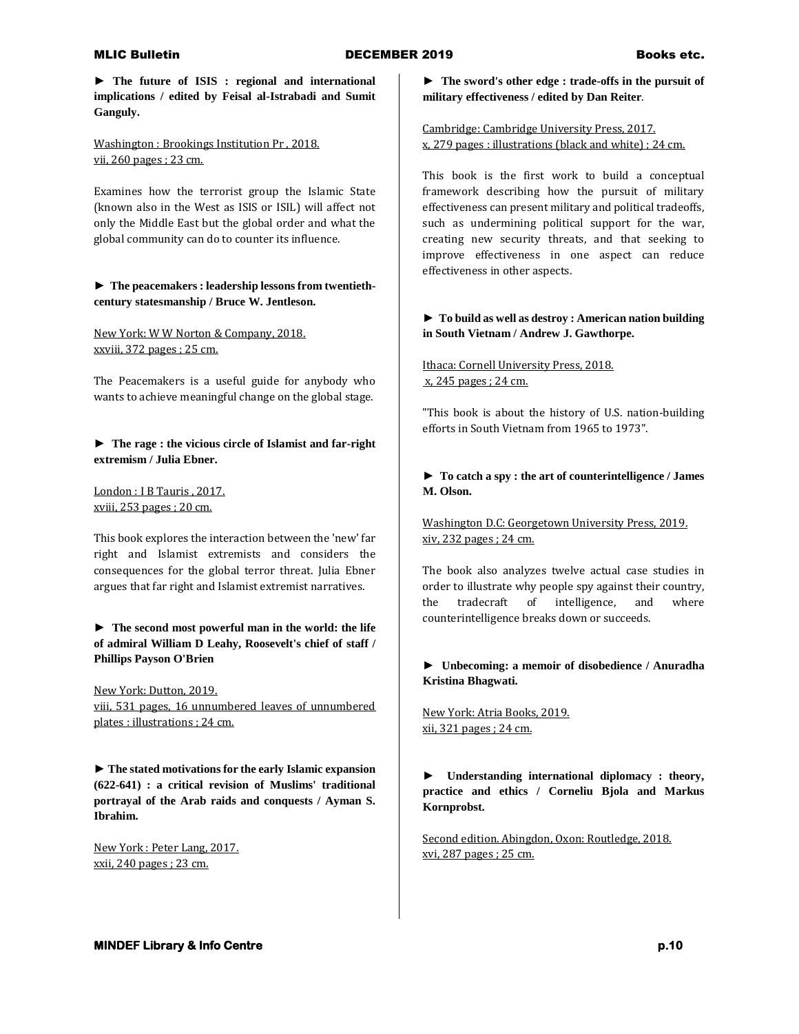**► The future of ISIS : regional and international implications / edited by Feisal al-Istrabadi and Sumit Ganguly.**

Washington : Brookings Institution Pr , 2018. vii, 260 pages ; 23 cm.

Examines how the terrorist group the Islamic State (known also in the West as ISIS or ISIL) will affect not only the Middle East but the global order and what the global community can do to counter its influence.

## **► The peacemakers : leadership lessons from twentiethcentury statesmanship / Bruce W. Jentleson.**

New York: W W Norton & Company, 2018. xxviii, 372 pages ; 25 cm.

The Peacemakers is a useful guide for anybody who wants to achieve meaningful change on the global stage.

**► The rage : the vicious circle of Islamist and far-right extremism / Julia Ebner.**

London : I B Tauris , 2017. xviii, 253 pages ; 20 cm.

This book explores the interaction between the 'new' far right and Islamist extremists and considers the consequences for the global terror threat. Julia Ebner argues that far right and Islamist extremist narratives.

# **► The second most powerful man in the world: the life of admiral William D Leahy, Roosevelt's chief of staff / Phillips Payson O'Brien**

New York: Dutton, 2019. viii, 531 pages, 16 unnumbered leaves of unnumbered plates : illustrations ; 24 cm.

**► The stated motivations for the early Islamic expansion (622-641) : a critical revision of Muslims' traditional portrayal of the Arab raids and conquests / Ayman S. Ibrahim.**

New York : Peter Lang, 2017. xxii, 240 pages ; 23 cm.

**► The sword's other edge : trade-offs in the pursuit of military effectiveness / edited by Dan Reiter**.

Cambridge: Cambridge University Press, 2017. x, 279 pages : illustrations (black and white) ; 24 cm.

This book is the first work to build a conceptual framework describing how the pursuit of military effectiveness can present military and political tradeoffs, such as undermining political support for the war, creating new security threats, and that seeking to improve effectiveness in one aspect can reduce effectiveness in other aspects.

# **► To build as well as destroy : American nation building in South Vietnam / Andrew J. Gawthorpe.**

# Ithaca: Cornell University Press, 2018. x, 245 pages ; 24 cm.

"This book is about the history of U.S. nation-building efforts in South Vietnam from 1965 to 1973".

# **► To catch a spy : the art of counterintelligence / James M. Olson.**

Washington D.C: Georgetown University Press, 2019. xiv, 232 pages ; 24 cm.

The book also analyzes twelve actual case studies in order to illustrate why people spy against their country, the tradecraft of intelligence, and where counterintelligence breaks down or succeeds.

## **► Unbecoming: a memoir of disobedience / Anuradha Kristina Bhagwati.**

New York: Atria Books, 2019. xii, 321 pages ; 24 cm.

**► Understanding international diplomacy : theory, practice and ethics / Corneliu Bjola and Markus Kornprobst.**

Second edition. Abingdon, Oxon: Routledge, 2018. xvi, 287 pages ; 25 cm.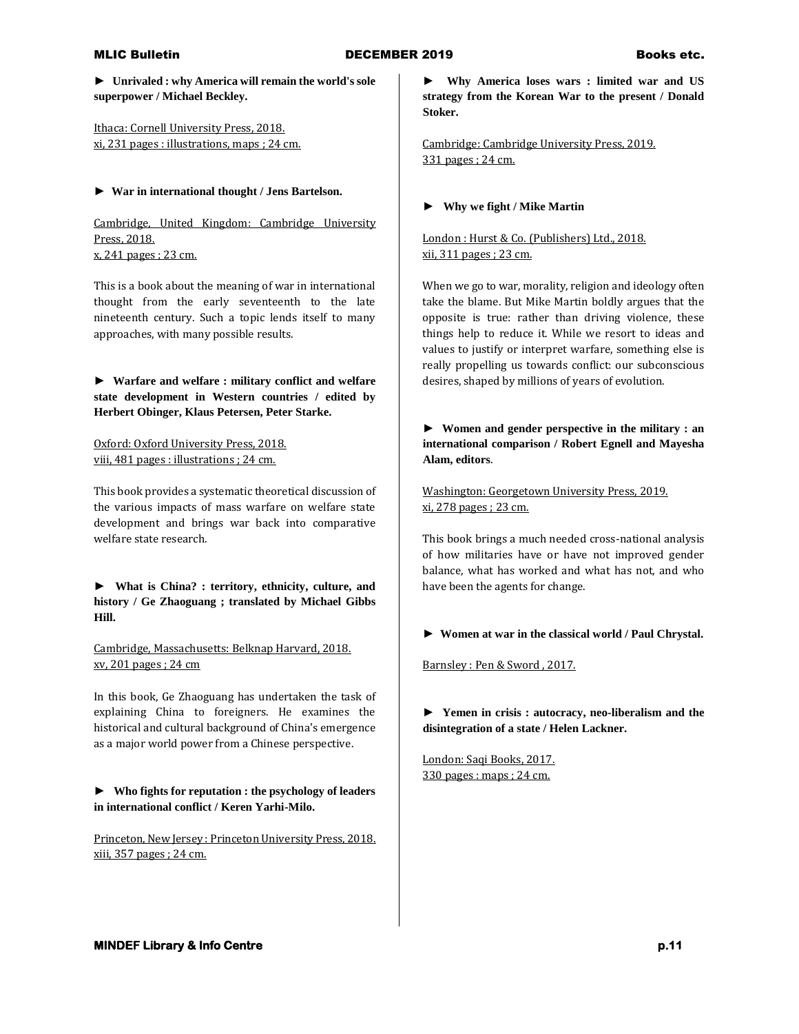**► Unrivaled : why America will remain the world's sole superpower / Michael Beckley.**

Ithaca: Cornell University Press, 2018. xi, 231 pages : illustrations, maps ; 24 cm.

### **► War in international thought / Jens Bartelson.**

Cambridge, United Kingdom: Cambridge University Press, 2018. x, 241 pages ; 23 cm.

This is a book about the meaning of war in international thought from the early seventeenth to the late nineteenth century. Such a topic lends itself to many approaches, with many possible results.

**► Warfare and welfare : military conflict and welfare state development in Western countries / edited by Herbert Obinger, Klaus Petersen, Peter Starke.**

Oxford: Oxford University Press, 2018. viii, 481 pages : illustrations ; 24 cm.

This book provides a systematic theoretical discussion of the various impacts of mass warfare on welfare state development and brings war back into comparative welfare state research.

**► What is China? : territory, ethnicity, culture, and history / Ge Zhaoguang ; translated by Michael Gibbs Hill.**

Cambridge, Massachusetts: Belknap Harvard, 2018. xv, 201 pages ; 24 cm

In this book, Ge Zhaoguang has undertaken the task of explaining China to foreigners. He examines the historical and cultural background of China's emergence as a major world power from a Chinese perspective.

**► Who fights for reputation : the psychology of leaders in international conflict / Keren Yarhi-Milo.**

Princeton, New Jersey : Princeton University Press, 2018. xiii, 357 pages ; 24 cm.

**► Why America loses wars : limited war and US strategy from the Korean War to the present / Donald Stoker.**

Cambridge: Cambridge University Press, 2019. 331 pages ; 24 cm.

### **► Why we fight / Mike Martin**

London : Hurst & Co. (Publishers) Ltd., 2018. xii, 311 pages ; 23 cm.

When we go to war, morality, religion and ideology often take the blame. But Mike Martin boldly argues that the opposite is true: rather than driving violence, these things help to reduce it. While we resort to ideas and values to justify or interpret warfare, something else is really propelling us towards conflict: our subconscious desires, shaped by millions of years of evolution.

**► Women and gender perspective in the military : an international comparison / Robert Egnell and Mayesha Alam, editors**.

Washington: Georgetown University Press, 2019. xi, 278 pages ; 23 cm.

This book brings a much needed cross-national analysis of how militaries have or have not improved gender balance, what has worked and what has not, and who have been the agents for change.

**► Women at war in the classical world / Paul Chrystal.**

Barnsley : Pen & Sword , 2017.

**► Yemen in crisis : autocracy, neo-liberalism and the disintegration of a state / Helen Lackner.**

London: Saqi Books, 2017. 330 pages : maps ; 24 cm.